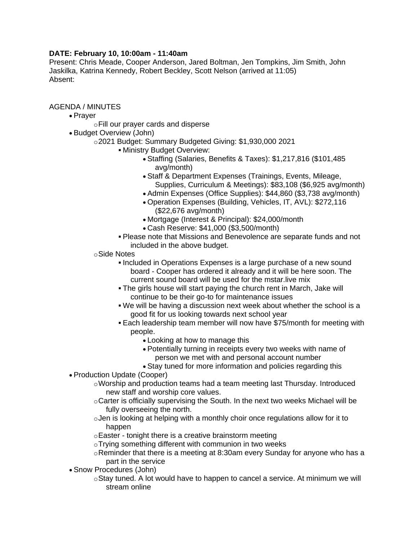## **DATE: February 10, 10:00am - 11:40am**

Present: Chris Meade, Cooper Anderson, Jared Boltman, Jen Tompkins, Jim Smith, John Jaskilka, Katrina Kennedy, Robert Beckley, Scott Nelson (arrived at 11:05) Absent:

AGENDA / MINUTES

- Prayer
	- oFill our prayer cards and disperse
- Budget Overview (John)
	- o2021 Budget: Summary Budgeted Giving: \$1,930,000 2021
		- Ministry Budget Overview:
			- Staffing (Salaries, Benefits & Taxes): \$1,217,816 (\$101,485 avg/month)
			- Staff & Department Expenses (Trainings, Events, Mileage, Supplies, Curriculum & Meetings): \$83,108 (\$6,925 avg/month)
			- Admin Expenses (Office Supplies): \$44,860 (\$3,738 avg/month)
			- Operation Expenses (Building, Vehicles, IT, AVL): \$272,116 (\$22,676 avg/month)
			- Mortgage (Interest & Principal): \$24,000/month
			- Cash Reserve: \$41,000 (\$3,500/month)
		- Please note that Missions and Benevolence are separate funds and not included in the above budget.
	- oSide Notes
		- Included in Operations Expenses is a large purchase of a new sound board - Cooper has ordered it already and it will be here soon. The current sound board will be used for the mstar.live mix
		- The girls house will start paying the church rent in March, Jake will continue to be their go-to for maintenance issues
		- We will be having a discussion next week about whether the school is a good fit for us looking towards next school year
		- Each leadership team member will now have \$75/month for meeting with people.
			- Looking at how to manage this
			- Potentially turning in receipts every two weeks with name of person we met with and personal account number
			- Stay tuned for more information and policies regarding this
- Production Update (Cooper)
	- oWorship and production teams had a team meeting last Thursday. Introduced new staff and worship core values.
	- oCarter is officially supervising the South. In the next two weeks Michael will be fully overseeing the north.
	- oJen is looking at helping with a monthly choir once regulations allow for it to happen
	- oEaster tonight there is a creative brainstorm meeting
	- oTrying something different with communion in two weeks
	- $\circ$ Reminder that there is a meeting at 8:30am every Sunday for anyone who has a part in the service
- Snow Procedures (John)
	- oStay tuned. A lot would have to happen to cancel a service. At minimum we will stream online